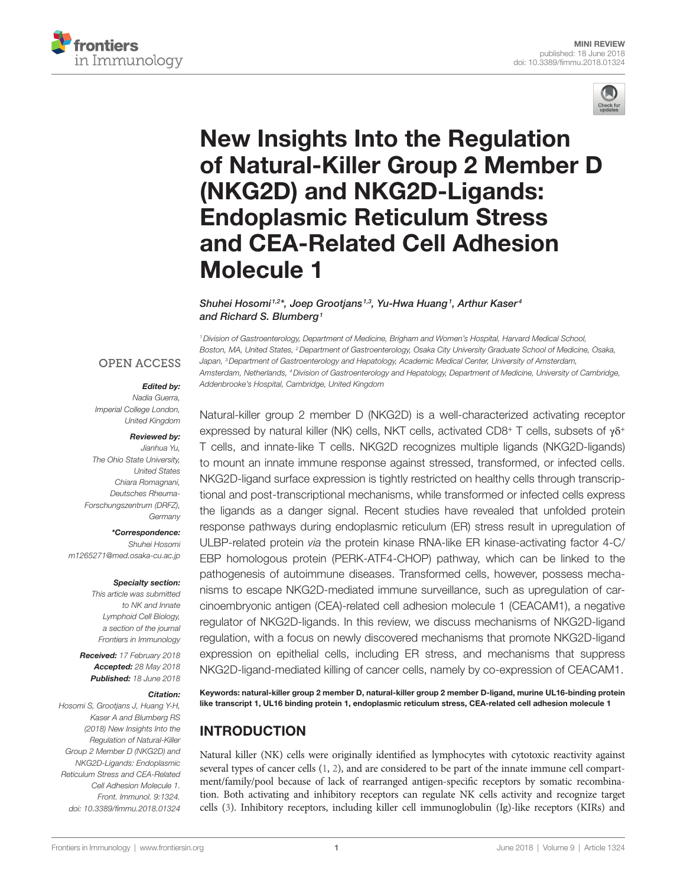



# **New Insights Into the Regulation** of Natural-Killer Group 2 Member D (NKG2D) and NKG2D-Ligands: **Endoplasmic Reticulum Stress** and CEA-Related Cell Adhesion **Molecule 1**

#### [Shuhei Hosomi](https://loop.frontiersin.org/people/572098)<sup>1,2\*</sup>, Joep Grootjans<sup>1,3</sup>, Yu-Hwa Huang<sup>1</sup>, Arthur Kaser<sup>4</sup> *and [Richard S. Blumberg](https://loop.frontiersin.org/people/220644)1*

*1Division of Gastroenterology, Department of Medicine, Brigham and Women's Hospital, Harvard Medical School, Boston, MA, United States, 2Department of Gastroenterology, Osaka City University Graduate School of Medicine, Osaka, Japan, 3Department of Gastroenterology and Hepatology, Academic Medical Center, University of Amsterdam, Amsterdam, Netherlands, 4Division of Gastroenterology and Hepatology, Department of Medicine, University of Cambridge, Addenbrooke's Hospital, Cambridge, United Kingdom*

#### **OPEN ACCESS**

#### *Edited by:*

*Nadia Guerra, Imperial College London, United Kingdom*

#### *Reviewed by:*

*Jianhua Yu, The Ohio State University, United States Chiara Romagnani, Deutsches Rheuma-Forschungszentrum (DRFZ), Germany*

*\*Correspondence: Shuhei Hosomi [m1265271@med.osaka-cu.ac.jp](mailto:m1265271@med.osaka-cu.ac.jp)*

#### *Specialty section:*

*This article was submitted to NK and Innate Lymphoid Cell Biology, a section of the journal Frontiers in Immunology*

*Received: 17 February 2018 Accepted: 28 May 2018 Published: 18 June 2018*

#### *Citation:*

*Hosomi S, Grootjans J, Huang Y-H, Kaser A and Blumberg RS (2018) New Insights Into the Regulation of Natural-Killer Group 2 Member D (NKG2D) and NKG2D-Ligands: Endoplasmic Reticulum Stress and CEA-Related Cell Adhesion Molecule 1. Front. Immunol. 9:1324. doi: [10.3389/fimmu.2018.01324](https://doi.org/10.3389/fimmu.2018.01324)*

Natural-killer group 2 member D (NKG2D) is a well-characterized activating receptor expressed by natural killer (NK) cells, NKT cells, activated CD8+ T cells, subsets of γδ+ T cells, and innate-like T cells. NKG2D recognizes multiple ligands (NKG2D-ligands) to mount an innate immune response against stressed, transformed, or infected cells. NKG2D-ligand surface expression is tightly restricted on healthy cells through transcriptional and post-transcriptional mechanisms, while transformed or infected cells express the ligands as a danger signal. Recent studies have revealed that unfolded protein response pathways during endoplasmic reticulum (ER) stress result in upregulation of ULBP-related protein *via* the protein kinase RNA-like ER kinase-activating factor 4-C/ EBP homologous protein (PERK-ATF4-CHOP) pathway, which can be linked to the pathogenesis of autoimmune diseases. Transformed cells, however, possess mechanisms to escape NKG2D-mediated immune surveillance, such as upregulation of carcinoembryonic antigen (CEA)-related cell adhesion molecule 1 (CEACAM1), a negative regulator of NKG2D-ligands. In this review, we discuss mechanisms of NKG2D-ligand regulation, with a focus on newly discovered mechanisms that promote NKG2D-ligand expression on epithelial cells, including ER stress, and mechanisms that suppress NKG2D-ligand-mediated killing of cancer cells, namely by co-expression of CEACAM1.

Keywords: natural-killer group 2 member D, natural-killer group 2 member D-ligand, murine UL16-binding protein like transcript 1, UL16 binding protein 1, endoplasmic reticulum stress, CEA-related cell adhesion molecule 1

# INTRODUCTION

Natural killer (NK) cells were originally identified as lymphocytes with cytotoxic reactivity against several types of cancer cells [\(1,](#page-5-0) [2\)](#page-5-1), and are considered to be part of the innate immune cell compartment/family/pool because of lack of rearranged antigen-specific receptors by somatic recombination. Both activating and inhibitory receptors can regulate NK cells activity and recognize target cells [\(3\)](#page-5-2). Inhibitory receptors, including killer cell immunoglobulin (Ig)-like receptors (KIRs) and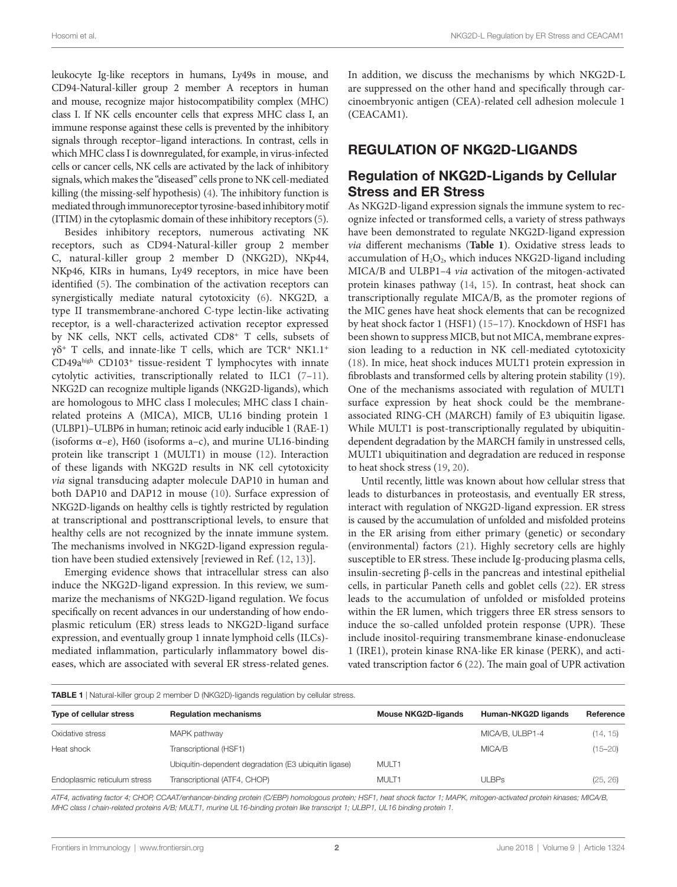leukocyte Ig-like receptors in humans, Ly49s in mouse, and CD94-Natural-killer group 2 member A receptors in human and mouse, recognize major histocompatibility complex (MHC) class I. If NK cells encounter cells that express MHC class I, an immune response against these cells is prevented by the inhibitory signals through receptor–ligand interactions. In contrast, cells in which MHC class I is downregulated, for example, in virus-infected cells or cancer cells, NK cells are activated by the lack of inhibitory signals, which makes the "diseased" cells prone to NK cell-mediated killing (the missing-self hypothesis) [\(4](#page-5-3)). The inhibitory function is mediated through immunoreceptor tyrosine-based inhibitory motif (ITIM) in the cytoplasmic domain of these inhibitory receptors [\(5\)](#page-5-4).

Besides inhibitory receptors, numerous activating NK receptors, such as CD94-Natural-killer group 2 member C, natural-killer group 2 member D (NKG2D), NKp44, NKp46, KIRs in humans, Ly49 receptors, in mice have been identified [\(5\)](#page-5-4). The combination of the activation receptors can synergistically mediate natural cytotoxicity [\(6\)](#page-5-5). NKG2D, a type II transmembrane-anchored C-type lectin-like activating receptor, is a well-characterized activation receptor expressed by NK cells, NKT cells, activated CD8<sup>+</sup> T cells, subsets of γδ<sup>+</sup> T cells, and innate-like T cells, which are TCR<sup>+</sup> NK1.1<sup>+</sup> CD49ahigh CD103<sup>+</sup> tissue-resident T lymphocytes with innate cytolytic activities, transcriptionally related to ILC1 [\(7–](#page-5-6)[11\)](#page-5-7). NKG2D can recognize multiple ligands (NKG2D-ligands), which are homologous to MHC class I molecules; MHC class I chainrelated proteins A (MICA), MICB, UL16 binding protein 1 (ULBP1)–ULBP6 in human; retinoic acid early inducible 1 (RAE-1) (isoforms  $\alpha - \varepsilon$ ), H60 (isoforms a-c), and murine UL16-binding protein like transcript 1 (MULT1) in mouse ([12\)](#page-5-8). Interaction of these ligands with NKG2D results in NK cell cytotoxicity *via* signal transducing adapter molecule DAP10 in human and both DAP10 and DAP12 in mouse ([10\)](#page-5-9). Surface expression of NKG2D-ligands on healthy cells is tightly restricted by regulation at transcriptional and posttranscriptional levels, to ensure that healthy cells are not recognized by the innate immune system. The mechanisms involved in NKG2D-ligand expression regulation have been studied extensively [reviewed in Ref. [\(12,](#page-5-8) [13](#page-5-10))].

Emerging evidence shows that intracellular stress can also induce the NKG2D-ligand expression. In this review, we summarize the mechanisms of NKG2D-ligand regulation. We focus specifically on recent advances in our understanding of how endoplasmic reticulum (ER) stress leads to NKG2D-ligand surface expression, and eventually group 1 innate lymphoid cells (ILCs) mediated inflammation, particularly inflammatory bowel diseases, which are associated with several ER stress-related genes.

In addition, we discuss the mechanisms by which NKG2D-L are suppressed on the other hand and specifically through carcinoembryonic antigen (CEA)-related cell adhesion molecule 1 (CEACAM1).

## REGULATION OF NKG2D-LIGANDS

### Regulation of NKG2D-Ligands by Cellular Stress and ER Stress

As NKG2D-ligand expression signals the immune system to recognize infected or transformed cells, a variety of stress pathways have been demonstrated to regulate NKG2D-ligand expression *via* different mechanisms (**[Table 1](#page-1-0)**). Oxidative stress leads to accumulation of  $H_2O_2$ , which induces NKG2D-ligand including MICA/B and ULBP1–4 *via* activation of the mitogen-activated protein kinases pathway [\(14](#page-6-0), [15](#page-6-1)). In contrast, heat shock can transcriptionally regulate MICA/B, as the promoter regions of the MIC genes have heat shock elements that can be recognized by heat shock factor 1 (HSF1) [\(15–](#page-6-1)[17\)](#page-6-5). Knockdown of HSF1 has been shown to suppress MICB, but not MICA, membrane expression leading to a reduction in NK cell-mediated cytotoxicity [\(18\)](#page-6-6). In mice, heat shock induces MULT1 protein expression in fibroblasts and transformed cells by altering protein stability ([19\)](#page-6-7). One of the mechanisms associated with regulation of MULT1 surface expression by heat shock could be the membraneassociated RING-CH (MARCH) family of E3 ubiquitin ligase. While MULT1 is post-transcriptionally regulated by ubiquitindependent degradation by the MARCH family in unstressed cells, MULT1 ubiquitination and degradation are reduced in response to heat shock stress ([19,](#page-6-7) [20](#page-6-2)).

Until recently, little was known about how cellular stress that leads to disturbances in proteostasis, and eventually ER stress, interact with regulation of NKG2D-ligand expression. ER stress is caused by the accumulation of unfolded and misfolded proteins in the ER arising from either primary (genetic) or secondary (environmental) factors ([21\)](#page-6-8). Highly secretory cells are highly susceptible to ER stress. These include Ig-producing plasma cells, insulin-secreting β-cells in the pancreas and intestinal epithelial cells, in particular Paneth cells and goblet cells ([22\)](#page-6-9). ER stress leads to the accumulation of unfolded or misfolded proteins within the ER lumen, which triggers three ER stress sensors to induce the so-called unfolded protein response (UPR). These include inositol-requiring transmembrane kinase-endonuclease 1 (IRE1), protein kinase RNA-like ER kinase (PERK), and activated transcription factor 6 [\(22\)](#page-6-9). The main goal of UPR activation

<span id="page-1-0"></span>**TABLE 1** | Natural-killer group 2 member D (NKG2D)-ligands regulation by cellular stress.

| Type of cellular stress      | <b>Regulation mechanisms</b>                          | <b>Mouse NKG2D-ligands</b> | Human-NKG2D ligands | Reference   |
|------------------------------|-------------------------------------------------------|----------------------------|---------------------|-------------|
| Oxidative stress             | MAPK pathway                                          |                            | MICA/B. ULBP1-4     | (14, 15)    |
| Heat shock                   | Transcriptional (HSF1)                                |                            | MICA/B              | $(15 - 20)$ |
|                              | Ubiquitin-dependent degradation (E3 ubiquitin ligase) | MULT1                      |                     |             |
| Endoplasmic reticulum stress | Transcriptional (ATF4, CHOP)                          | MULT <sub>1</sub>          | ULBPs               | (25, 26)    |
|                              |                                                       |                            |                     |             |

*ATF4, activating factor 4; CHOP, CCAAT/enhancer-binding protein (C/EBP) homologous protein; HSF1, heat shock factor 1; MAPK, mitogen-activated protein kinases; MICA/B, MHC class I chain-related proteins A/B; MULT1, murine UL16-binding protein like transcript 1; ULBP1, UL16 binding protein 1.*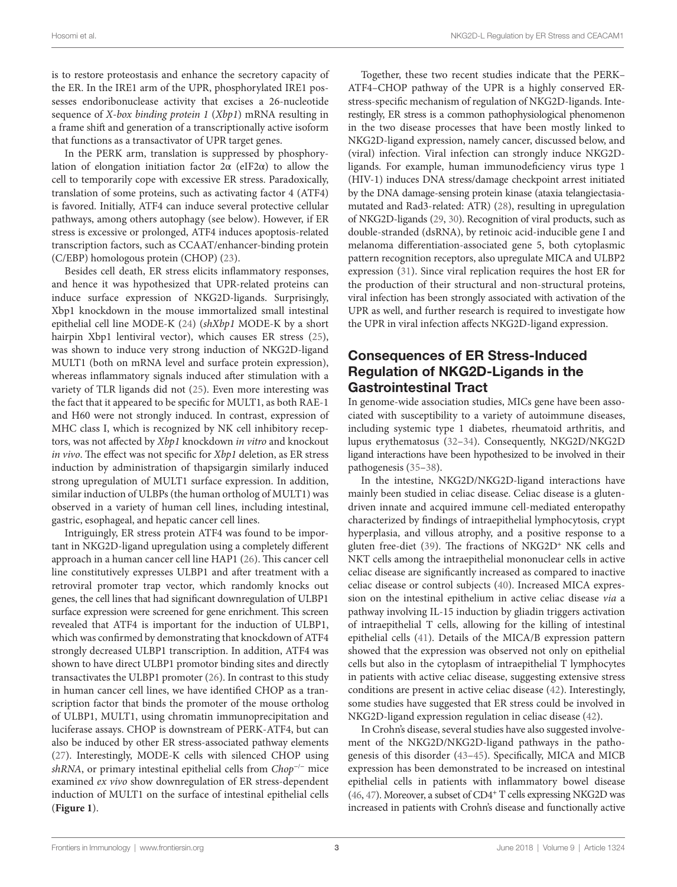is to restore proteostasis and enhance the secretory capacity of the ER. In the IRE1 arm of the UPR, phosphorylated IRE1 possesses endoribonuclease activity that excises a 26-nucleotide sequence of *X-box binding protein 1* (*Xbp1*) mRNA resulting in a frame shift and generation of a transcriptionally active isoform that functions as a transactivator of UPR target genes.

In the PERK arm, translation is suppressed by phosphorylation of elongation initiation factor  $2\alpha$  (eIF2 $\alpha$ ) to allow the cell to temporarily cope with excessive ER stress. Paradoxically, translation of some proteins, such as activating factor 4 (ATF4) is favored. Initially, ATF4 can induce several protective cellular pathways, among others autophagy (see below). However, if ER stress is excessive or prolonged, ATF4 induces apoptosis-related transcription factors, such as CCAAT/enhancer-binding protein (C/EBP) homologous protein (CHOP) ([23\)](#page-6-10).

Besides cell death, ER stress elicits inflammatory responses, and hence it was hypothesized that UPR-related proteins can induce surface expression of NKG2D-ligands. Surprisingly, Xbp1 knockdown in the mouse immortalized small intestinal epithelial cell line MODE-K [\(24](#page-6-11)) (*shXbp1* MODE-K by a short hairpin Xbp1 lentiviral vector), which causes ER stress ([25\)](#page-6-3), was shown to induce very strong induction of NKG2D-ligand MULT1 (both on mRNA level and surface protein expression), whereas inflammatory signals induced after stimulation with a variety of TLR ligands did not [\(25\)](#page-6-3). Even more interesting was the fact that it appeared to be specific for MULT1, as both RAE-1 and H60 were not strongly induced. In contrast, expression of MHC class I, which is recognized by NK cell inhibitory receptors, was not affected by *Xbp1* knockdown *in vitro* and knockout *in vivo*. The effect was not specific for *Xbp1* deletion, as ER stress induction by administration of thapsigargin similarly induced strong upregulation of MULT1 surface expression. In addition, similar induction of ULBPs (the human ortholog of MULT1) was observed in a variety of human cell lines, including intestinal, gastric, esophageal, and hepatic cancer cell lines.

Intriguingly, ER stress protein ATF4 was found to be important in NKG2D-ligand upregulation using a completely different approach in a human cancer cell line HAP1 [\(26\)](#page-6-4). This cancer cell line constitutively expresses ULBP1 and after treatment with a retroviral promoter trap vector, which randomly knocks out genes, the cell lines that had significant downregulation of ULBP1 surface expression were screened for gene enrichment. This screen revealed that ATF4 is important for the induction of ULBP1, which was confirmed by demonstrating that knockdown of ATF4 strongly decreased ULBP1 transcription. In addition, ATF4 was shown to have direct ULBP1 promotor binding sites and directly transactivates the ULBP1 promoter ([26\)](#page-6-4). In contrast to this study in human cancer cell lines, we have identified CHOP as a transcription factor that binds the promoter of the mouse ortholog of ULBP1, MULT1, using chromatin immunoprecipitation and luciferase assays. CHOP is downstream of PERK-ATF4, but can also be induced by other ER stress-associated pathway elements ([27\)](#page-6-12). Interestingly, MODE-K cells with silenced CHOP using *shRNA*, or primary intestinal epithelial cells from *Chop*<sup>−</sup>/<sup>−</sup> mice examined *ex vivo* show downregulation of ER stress-dependent induction of MULT1 on the surface of intestinal epithelial cells (**[Figure 1](#page-3-0)**).

Together, these two recent studies indicate that the PERK– ATF4–CHOP pathway of the UPR is a highly conserved ERstress-specific mechanism of regulation of NKG2D-ligands. Interestingly, ER stress is a common pathophysiological phenomenon in the two disease processes that have been mostly linked to NKG2D-ligand expression, namely cancer, discussed below, and (viral) infection. Viral infection can strongly induce NKG2Dligands. For example, human immunodeficiency virus type 1 (HIV-1) induces DNA stress/damage checkpoint arrest initiated by the DNA damage-sensing protein kinase (ataxia telangiectasiamutated and Rad3-related: ATR) ([28\)](#page-6-13), resulting in upregulation of NKG2D-ligands [\(29](#page-6-14), [30](#page-6-15)). Recognition of viral products, such as double-stranded (dsRNA), by retinoic acid-inducible gene I and melanoma differentiation-associated gene 5, both cytoplasmic pattern recognition receptors, also upregulate MICA and ULBP2 expression ([31\)](#page-6-16). Since viral replication requires the host ER for the production of their structural and non-structural proteins, viral infection has been strongly associated with activation of the UPR as well, and further research is required to investigate how the UPR in viral infection affects NKG2D-ligand expression.

## Consequences of ER Stress-Induced Regulation of NKG2D-Ligands in the Gastrointestinal Tract

In genome-wide association studies, MICs gene have been associated with susceptibility to a variety of autoimmune diseases, including systemic type 1 diabetes, rheumatoid arthritis, and lupus erythematosus [\(32–](#page-6-17)[34\)](#page-6-18). Consequently, NKG2D/NKG2D ligand interactions have been hypothesized to be involved in their pathogenesis ([35–](#page-6-19)[38\)](#page-6-20).

In the intestine, NKG2D/NKG2D-ligand interactions have mainly been studied in celiac disease. Celiac disease is a glutendriven innate and acquired immune cell-mediated enteropathy characterized by findings of intraepithelial lymphocytosis, crypt hyperplasia, and villous atrophy, and a positive response to a gluten free-diet [\(39\)](#page-6-21). The fractions of NKG2D<sup>+</sup> NK cells and NKT cells among the intraepithelial mononuclear cells in active celiac disease are significantly increased as compared to inactive celiac disease or control subjects ([40\)](#page-6-22). Increased MICA expression on the intestinal epithelium in active celiac disease *via* a pathway involving IL-15 induction by gliadin triggers activation of intraepithelial T cells, allowing for the killing of intestinal epithelial cells ([41\)](#page-6-23). Details of the MICA/B expression pattern showed that the expression was observed not only on epithelial cells but also in the cytoplasm of intraepithelial T lymphocytes in patients with active celiac disease, suggesting extensive stress conditions are present in active celiac disease ([42\)](#page-6-24). Interestingly, some studies have suggested that ER stress could be involved in NKG2D-ligand expression regulation in celiac disease ([42\)](#page-6-24).

In Crohn's disease, several studies have also suggested involvement of the NKG2D/NKG2D-ligand pathways in the pathogenesis of this disorder [\(43–](#page-6-25)[45\)](#page-6-26). Specifically, MICA and MICB expression has been demonstrated to be increased on intestinal epithelial cells in patients with inflammatory bowel disease [\(46,](#page-6-27) [47\)](#page-6-28). Moreover, a subset of CD4<sup>+</sup> T cells expressing NKG2D was increased in patients with Crohn's disease and functionally active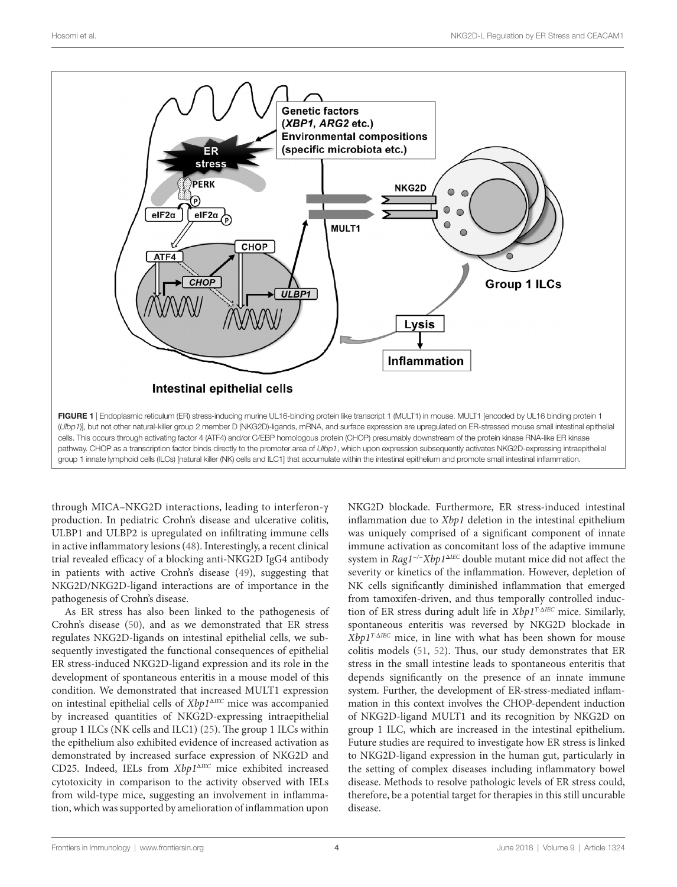

<span id="page-3-0"></span>through MICA–NKG2D interactions, leading to interferon-γ production. In pediatric Crohn's disease and ulcerative colitis, ULBP1 and ULBP2 is upregulated on infiltrating immune cells in active inflammatory lesions [\(48\)](#page-6-29). Interestingly, a recent clinical trial revealed efficacy of a blocking anti-NKG2D IgG4 antibody in patients with active Crohn's disease [\(49](#page-6-30)), suggesting that NKG2D/NKG2D-ligand interactions are of importance in the pathogenesis of Crohn's disease.

As ER stress has also been linked to the pathogenesis of Crohn's disease ([50\)](#page-6-31), and as we demonstrated that ER stress regulates NKG2D-ligands on intestinal epithelial cells, we subsequently investigated the functional consequences of epithelial ER stress-induced NKG2D-ligand expression and its role in the development of spontaneous enteritis in a mouse model of this condition. We demonstrated that increased MULT1 expression on intestinal epithelial cells of *Xbp1*<sup>Δ</sup>*IEC* mice was accompanied by increased quantities of NKG2D-expressing intraepithelial group 1 ILCs (NK cells and ILC1) [\(25](#page-6-3)). The group 1 ILCs within the epithelium also exhibited evidence of increased activation as demonstrated by increased surface expression of NKG2D and CD25. Indeed, IELs from *Xbp1*<sup>Δ</sup>*IEC* mice exhibited increased cytotoxicity in comparison to the activity observed with IELs from wild-type mice, suggesting an involvement in inflammation, which was supported by amelioration of inflammation upon

NKG2D blockade. Furthermore, ER stress-induced intestinal inflammation due to *Xbp1* deletion in the intestinal epithelium was uniquely comprised of a significant component of innate immune activation as concomitant loss of the adaptive immune system in *Rag1<sup>−</sup>/<sup>−</sup>Xbp1*<sup>Δ</sup>*IEC* double mutant mice did not affect the severity or kinetics of the inflammation. However, depletion of NK cells significantly diminished inflammation that emerged from tamoxifen-driven, and thus temporally controlled induction of ER stress during adult life in *Xbp1T-*Δ*IEC* mice. Similarly, spontaneous enteritis was reversed by NKG2D blockade in *Xbp1T-*Δ*IEC* mice, in line with what has been shown for mouse colitis models ([51,](#page-6-32) [52\)](#page-6-33). Thus, our study demonstrates that ER stress in the small intestine leads to spontaneous enteritis that depends significantly on the presence of an innate immune system. Further, the development of ER-stress-mediated inflammation in this context involves the CHOP-dependent induction of NKG2D-ligand MULT1 and its recognition by NKG2D on group 1 ILC, which are increased in the intestinal epithelium. Future studies are required to investigate how ER stress is linked to NKG2D-ligand expression in the human gut, particularly in the setting of complex diseases including inflammatory bowel disease. Methods to resolve pathologic levels of ER stress could, therefore, be a potential target for therapies in this still uncurable disease.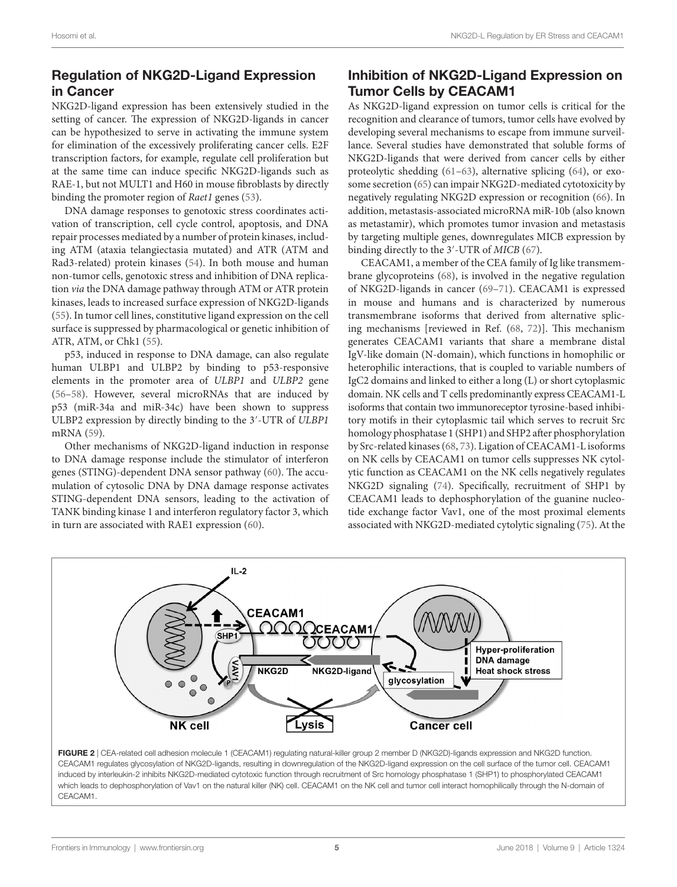# Regulation of NKG2D-Ligand Expression in Cancer

NKG2D-ligand expression has been extensively studied in the setting of cancer. The expression of NKG2D-ligands in cancer can be hypothesized to serve in activating the immune system for elimination of the excessively proliferating cancer cells. E2F transcription factors, for example, regulate cell proliferation but at the same time can induce specific NKG2D-ligands such as RAE-1, but not MULT1 and H60 in mouse fibroblasts by directly binding the promoter region of *Raet1* genes ([53\)](#page-7-0).

DNA damage responses to genotoxic stress coordinates activation of transcription, cell cycle control, apoptosis, and DNA repair processes mediated by a number of protein kinases, including ATM (ataxia telangiectasia mutated) and ATR (ATM and Rad3-related) protein kinases ([54](#page-7-1)). In both mouse and human non-tumor cells, genotoxic stress and inhibition of DNA replication *via* the DNA damage pathway through ATM or ATR protein kinases, leads to increased surface expression of NKG2D-ligands ([55\)](#page-7-2). In tumor cell lines, constitutive ligand expression on the cell surface is suppressed by pharmacological or genetic inhibition of ATR, ATM, or Chk1 ([55\)](#page-7-2).

p53, induced in response to DNA damage, can also regulate human ULBP1 and ULBP2 by binding to p53-responsive elements in the promoter area of *ULBP1* and *ULBP2* gene ([56–](#page-7-3)[58\)](#page-7-4). However, several microRNAs that are induced by p53 (miR-34a and miR-34c) have been shown to suppress ULBP2 expression by directly binding to the 3′-UTR of *ULBP1* mRNA ([59\)](#page-7-5).

Other mechanisms of NKG2D-ligand induction in response to DNA damage response include the stimulator of interferon genes (STING)-dependent DNA sensor pathway [\(60](#page-7-6)). The accumulation of cytosolic DNA by DNA damage response activates STING-dependent DNA sensors, leading to the activation of TANK binding kinase 1 and interferon regulatory factor 3, which in turn are associated with RAE1 expression ([60](#page-7-6)).

# Inhibition of NKG2D-Ligand Expression on Tumor Cells by CEACAM1

As NKG2D-ligand expression on tumor cells is critical for the recognition and clearance of tumors, tumor cells have evolved by developing several mechanisms to escape from immune surveillance. Several studies have demonstrated that soluble forms of NKG2D-ligands that were derived from cancer cells by either proteolytic shedding ([61](#page-7-7)[–63](#page-7-8)), alternative splicing ([64\)](#page-7-9), or exosome secretion [\(65](#page-7-10)) can impair NKG2D-mediated cytotoxicity by negatively regulating NKG2D expression or recognition ([66\)](#page-7-11). In addition, metastasis-associated microRNA miR-10b (also known as metastamir), which promotes tumor invasion and metastasis by targeting multiple genes, downregulates MICB expression by binding directly to the 3′-UTR of *MICB* ([67\)](#page-7-12).

CEACAM1, a member of the CEA family of Ig like transmembrane glycoproteins [\(68](#page-7-13)), is involved in the negative regulation of NKG2D-ligands in cancer ([69–](#page-7-14)[71\)](#page-7-15). CEACAM1 is expressed in mouse and humans and is characterized by numerous transmembrane isoforms that derived from alternative splicing mechanisms [reviewed in Ref. ([68,](#page-7-13) [72](#page-7-16))]. This mechanism generates CEACAM1 variants that share a membrane distal IgV-like domain (N-domain), which functions in homophilic or heterophilic interactions, that is coupled to variable numbers of IgC2 domains and linked to either a long (L) or short cytoplasmic domain. NK cells and T cells predominantly express CEACAM1-L isoforms that contain two immunoreceptor tyrosine-based inhibitory motifs in their cytoplasmic tail which serves to recruit Src homology phosphatase 1 (SHP1) and SHP2 after phosphorylation by Src-related kinases ([68,](#page-7-13) [73\)](#page-7-17). Ligation of CEACAM1-L isoforms on NK cells by CEACAM1 on tumor cells suppresses NK cytolytic function as CEACAM1 on the NK cells negatively regulates NKG2D signaling ([74\)](#page-7-18). Specifically, recruitment of SHP1 by CEACAM1 leads to dephosphorylation of the guanine nucleotide exchange factor Vav1, one of the most proximal elements associated with NKG2D-mediated cytolytic signaling ([75\)](#page-7-19). At the



<span id="page-4-0"></span>FIGURE 2 | CEA-related cell adhesion molecule 1 (CEACAM1) regulating natural-killer group 2 member D (NKG2D)-ligands expression and NKG2D function. CEACAM1 regulates glycosylation of NKG2D-ligands, resulting in downregulation of the NKG2D-ligand expression on the cell surface of the tumor cell. CEACAM1 induced by interleukin-2 inhibits NKG2D-mediated cytotoxic function through recruitment of Src homology phosphatase 1 (SHP1) to phosphorylated CEACAM1 which leads to dephosphorylation of Vav1 on the natural killer (NK) cell. CEACAM1 on the NK cell and tumor cell interact homophilically through the N-domain of CEACAM1.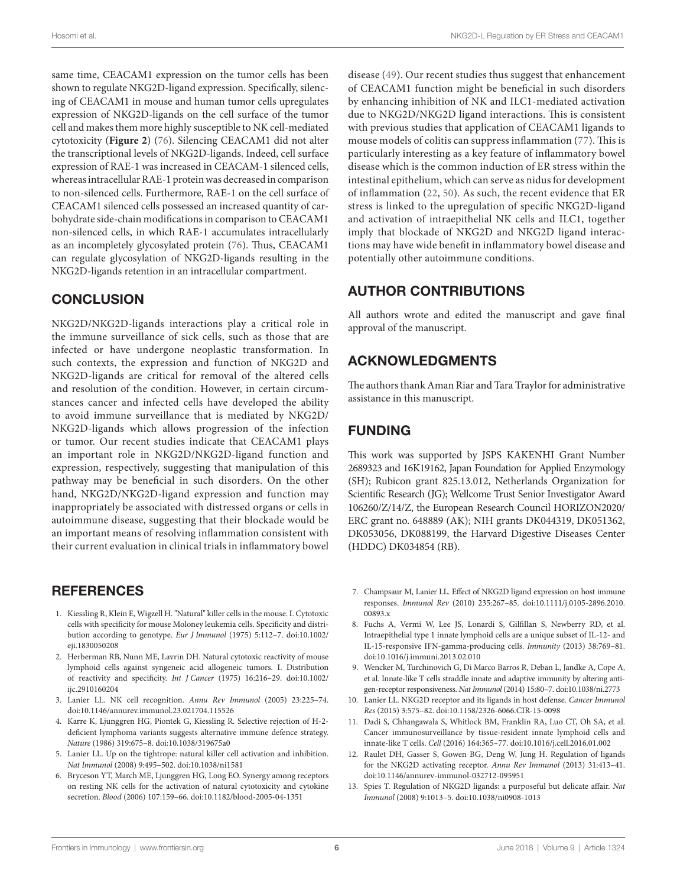same time, CEACAM1 expression on the tumor cells has been shown to regulate NKG2D-ligand expression. Specifically, silencing of CEACAM1 in mouse and human tumor cells upregulates expression of NKG2D-ligands on the cell surface of the tumor cell and makes them more highly susceptible to NK cell-mediated cytotoxicity (**[Figure 2](#page-4-0)**) ([76](#page-7-20)). Silencing CEACAM1 did not alter the transcriptional levels of NKG2D-ligands. Indeed, cell surface expression of RAE-1 was increased in CEACAM-1 silenced cells, whereas intracellular RAE-1 protein was decreased in comparison to non-silenced cells. Furthermore, RAE-1 on the cell surface of CEACAM1 silenced cells possessed an increased quantity of carbohydrate side-chain modifications in comparison to CEACAM1 non-silenced cells, in which RAE-1 accumulates intracellularly as an incompletely glycosylated protein ([76\)](#page-7-20). Thus, CEACAM1 can regulate glycosylation of NKG2D-ligands resulting in the NKG2D-ligands retention in an intracellular compartment.

## **CONCLUSION**

NKG2D/NKG2D-ligands interactions play a critical role in the immune surveillance of sick cells, such as those that are infected or have undergone neoplastic transformation. In such contexts, the expression and function of NKG2D and NKG2D-ligands are critical for removal of the altered cells and resolution of the condition. However, in certain circumstances cancer and infected cells have developed the ability to avoid immune surveillance that is mediated by NKG2D/ NKG2D-ligands which allows progression of the infection or tumor. Our recent studies indicate that CEACAM1 plays an important role in NKG2D/NKG2D-ligand function and expression, respectively, suggesting that manipulation of this pathway may be beneficial in such disorders. On the other hand, NKG2D/NKG2D-ligand expression and function may inappropriately be associated with distressed organs or cells in autoimmune disease, suggesting that their blockade would be an important means of resolving inflammation consistent with their current evaluation in clinical trials in inflammatory bowel

### REFERENCES

- <span id="page-5-0"></span>1. Kiessling R, Klein E, Wigzell H. "Natural" killer cells in the mouse. I. Cytotoxic cells with specificity for mouse Moloney leukemia cells. Specificity and distribution according to genotype. *Eur J Immunol* (1975) 5:112–7. doi[:10.1002/](https://doi.org/10.1002/eji.1830050208) [eji.1830050208](https://doi.org/10.1002/eji.1830050208)
- <span id="page-5-1"></span>2. Herberman RB, Nunn ME, Lavrin DH. Natural cytotoxic reactivity of mouse lymphoid cells against syngeneic acid allogeneic tumors. I. Distribution of reactivity and specificity. *Int J Cancer* (1975) 16:216–29. doi[:10.1002/](https://doi.org/10.1002/ijc.2910160204) iic.2910160204
- <span id="page-5-2"></span>3. Lanier LL. NK cell recognition. *Annu Rev Immunol* (2005) 23:225–74. doi:[10.1146/annurev.immunol.23.021704.115526](https://doi.org/10.1146/annurev.immunol.23.021704.115526)
- <span id="page-5-3"></span>4. Karre K, Ljunggren HG, Piontek G, Kiessling R. Selective rejection of H-2 deficient lymphoma variants suggests alternative immune defence strategy. *Nature* (1986) 319:675–8. doi[:10.1038/319675a0](https://doi.org/10.1038/319675a0)
- <span id="page-5-4"></span>5. Lanier LL. Up on the tightrope: natural killer cell activation and inhibition. *Nat Immunol* (2008) 9:495–502. doi:[10.1038/ni1581](https://doi.org/10.1038/ni1581)
- <span id="page-5-5"></span>6. Bryceson YT, March ME, Ljunggren HG, Long EO. Synergy among receptors on resting NK cells for the activation of natural cytotoxicity and cytokine secretion. *Blood* (2006) 107:159–66. doi[:10.1182/blood-2005-04-1351](https://doi.org/10.1182/blood-2005-04-1351)

disease [\(49\)](#page-6-30). Our recent studies thus suggest that enhancement of CEACAM1 function might be beneficial in such disorders by enhancing inhibition of NK and ILC1-mediated activation due to NKG2D/NKG2D ligand interactions. This is consistent with previous studies that application of CEACAM1 ligands to mouse models of colitis can suppress inflammation [\(77\)](#page-7-21). This is particularly interesting as a key feature of inflammatory bowel disease which is the common induction of ER stress within the intestinal epithelium, which can serve as nidus for development of inflammation ([22,](#page-6-9) [50\)](#page-6-31). As such, the recent evidence that ER stress is linked to the upregulation of specific NKG2D-ligand and activation of intraepithelial NK cells and ILC1, together imply that blockade of NKG2D and NKG2D ligand interactions may have wide benefit in inflammatory bowel disease and potentially other autoimmune conditions.

# AUTHOR CONTRIBUTIONS

All authors wrote and edited the manuscript and gave final approval of the manuscript.

## ACKNOWLEDGMENTS

The authors thank Aman Riar and Tara Traylor for administrative assistance in this manuscript.

# FUNDING

This work was supported by JSPS KAKENHI Grant Number 2689323 and 16K19162, Japan Foundation for Applied Enzymology (SH); Rubicon grant 825.13.012, Netherlands Organization for Scientific Research (JG); Wellcome Trust Senior Investigator Award 106260/Z/14/Z, the European Research Council HORIZON2020/ ERC grant no. 648889 (AK); NIH grants DK044319, DK051362, DK053056, DK088199, the Harvard Digestive Diseases Center (HDDC) DK034854 (RB).

- <span id="page-5-6"></span>7. Champsaur M, Lanier LL. Effect of NKG2D ligand expression on host immune responses. *Immunol Rev* (2010) 235:267–85. doi[:10.1111/j.0105-2896.2010.](https://doi.org/10.1111/j.0105-2896.2010.
00893.x) [00893.x](https://doi.org/10.1111/j.0105-2896.2010.
00893.x)
- 8. Fuchs A, Vermi W, Lee JS, Lonardi S, Gilfillan S, Newberry RD, et al. Intraepithelial type 1 innate lymphoid cells are a unique subset of IL-12- and IL-15-responsive IFN-gamma-producing cells. *Immunity* (2013) 38:769–81. doi:[10.1016/j.immuni.2013.02.010](https://doi.org/10.1016/j.immuni.2013.02.010)
- 9. Wencker M, Turchinovich G, Di Marco Barros R, Deban L, Jandke A, Cope A, et al. Innate-like T cells straddle innate and adaptive immunity by altering antigen-receptor responsiveness. *Nat Immunol* (2014) 15:80–7. doi:[10.1038/ni.2773](https://doi.org/10.1038/ni.2773)
- <span id="page-5-9"></span>10. Lanier LL. NKG2D receptor and its ligands in host defense. *Cancer Immunol Res* (2015) 3:575–82. doi[:10.1158/2326-6066.CIR-15-0098](https://doi.org/10.1158/2326-6066.CIR-15-0098)
- <span id="page-5-7"></span>11. Dadi S, Chhangawala S, Whitlock BM, Franklin RA, Luo CT, Oh SA, et al. Cancer immunosurveillance by tissue-resident innate lymphoid cells and innate-like T cells. *Cell* (2016) 164:365–77. doi[:10.1016/j.cell.2016.01.002](https://doi.org/10.1016/j.cell.2016.01.002)
- <span id="page-5-8"></span>12. Raulet DH, Gasser S, Gowen BG, Deng W, Jung H. Regulation of ligands for the NKG2D activating receptor. *Annu Rev Immunol* (2013) 31:413–41. doi:[10.1146/annurev-immunol-032712-095951](https://doi.org/10.1146/annurev-immunol-032712-095951)
- <span id="page-5-10"></span>13. Spies T. Regulation of NKG2D ligands: a purposeful but delicate affair. *Nat Immunol* (2008) 9:1013–5. doi[:10.1038/ni0908-1013](https://doi.org/10.1038/ni0908-1013)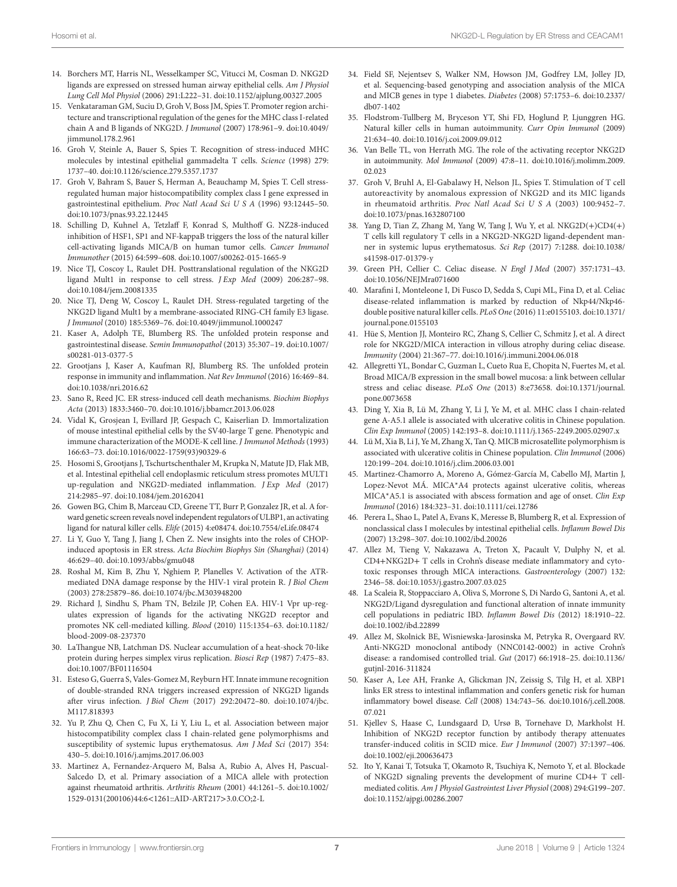- <span id="page-6-0"></span>14. Borchers MT, Harris NL, Wesselkamper SC, Vitucci M, Cosman D. NKG2D ligands are expressed on stressed human airway epithelial cells. *Am J Physiol Lung Cell Mol Physiol* (2006) 291:L222–31. doi[:10.1152/ajplung.00327.2005](https://doi.org/10.1152/ajplung.00327.2005)
- <span id="page-6-1"></span>15. Venkataraman GM, Suciu D, Groh V, Boss JM, Spies T. Promoter region architecture and transcriptional regulation of the genes for the MHC class I-related chain A and B ligands of NKG2D. *J Immunol* (2007) 178:961–9. doi[:10.4049/](https://doi.org/10.4049/jimmunol.178.2.961) [jimmunol.178.2.961](https://doi.org/10.4049/jimmunol.178.2.961)
- 16. Groh V, Steinle A, Bauer S, Spies T. Recognition of stress-induced MHC molecules by intestinal epithelial gammadelta T cells. *Science* (1998) 279: 1737–40. doi:[10.1126/science.279.5357.1737](https://doi.org/10.1126/science.279.5357.1737)
- <span id="page-6-5"></span>17. Groh V, Bahram S, Bauer S, Herman A, Beauchamp M, Spies T. Cell stressregulated human major histocompatibility complex class I gene expressed in gastrointestinal epithelium. *Proc Natl Acad Sci U S A* (1996) 93:12445–50. doi:[10.1073/pnas.93.22.12445](https://doi.org/10.1073/pnas.93.22.12445)
- <span id="page-6-6"></span>18. Schilling D, Kuhnel A, Tetzlaff F, Konrad S, Multhoff G. NZ28-induced inhibition of HSF1, SP1 and NF-kappaB triggers the loss of the natural killer cell-activating ligands MICA/B on human tumor cells. *Cancer Immunol Immunother* (2015) 64:599–608. doi[:10.1007/s00262-015-1665-9](https://doi.org/10.1007/s00262-015-1665-9)
- <span id="page-6-7"></span>19. Nice TJ, Coscoy L, Raulet DH. Posttranslational regulation of the NKG2D ligand Mult1 in response to cell stress. *J Exp Med* (2009) 206:287–98. doi:[10.1084/jem.20081335](https://doi.org/10.1084/jem.20081335)
- <span id="page-6-2"></span>20. Nice TJ, Deng W, Coscoy L, Raulet DH. Stress-regulated targeting of the NKG2D ligand Mult1 by a membrane-associated RING-CH family E3 ligase. *J Immunol* (2010) 185:5369–76. doi[:10.4049/jimmunol.1000247](https://doi.org/10.4049/jimmunol.1000247)
- <span id="page-6-8"></span>21. Kaser A, Adolph TE, Blumberg RS. The unfolded protein response and gastrointestinal disease. *Semin Immunopathol* (2013) 35:307–19. doi[:10.1007/](https://doi.org/10.1007/s00281-013-0377-5) [s00281-013-0377-5](https://doi.org/10.1007/s00281-013-0377-5)
- <span id="page-6-9"></span>22. Grootjans J, Kaser A, Kaufman RJ, Blumberg RS. The unfolded protein response in immunity and inflammation. *Nat Rev Immunol* (2016) 16:469–84. doi:[10.1038/nri.2016.62](https://doi.org/10.1038/nri.2016.62)
- <span id="page-6-10"></span>23. Sano R, Reed JC. ER stress-induced cell death mechanisms. *Biochim Biophys Acta* (2013) 1833:3460–70. doi[:10.1016/j.bbamcr.2013.06.028](https://doi.org/10.1016/j.bbamcr.2013.06.028)
- <span id="page-6-11"></span>24. Vidal K, Grosjean I, Evillard JP, Gespach C, Kaiserlian D. Immortalization of mouse intestinal epithelial cells by the SV40-large T gene. Phenotypic and immune characterization of the MODE-K cell line. *J Immunol Methods* (1993) 166:63–73. doi[:10.1016/0022-1759\(93\)90329-6](https://doi.org/10.1016/0022-1759(93)90329-6)
- <span id="page-6-3"></span>25. Hosomi S, Grootjans J, Tschurtschenthaler M, Krupka N, Matute JD, Flak MB, et al. Intestinal epithelial cell endoplasmic reticulum stress promotes MULT1 up-regulation and NKG2D-mediated inflammation. *J Exp Med* (2017) 214:2985–97. doi[:10.1084/jem.20162041](https://doi.org/10.1084/jem.20162041)
- <span id="page-6-4"></span>26. Gowen BG, Chim B, Marceau CD, Greene TT, Burr P, Gonzalez JR, et al. A forward genetic screen reveals novel independent regulators of ULBP1, an activating ligand for natural killer cells. *Elife* (2015) 4:e08474. doi[:10.7554/eLife.08474](https://doi.org/10.7554/eLife.08474)
- <span id="page-6-12"></span>27. Li Y, Guo Y, Tang J, Jiang J, Chen Z. New insights into the roles of CHOPinduced apoptosis in ER stress. *Acta Biochim Biophys Sin (Shanghai)* (2014) 46:629–40. doi[:10.1093/abbs/gmu048](https://doi.org/10.1093/abbs/gmu048)
- <span id="page-6-13"></span>28. Roshal M, Kim B, Zhu Y, Nghiem P, Planelles V. Activation of the ATRmediated DNA damage response by the HIV-1 viral protein R. *J Biol Chem* (2003) 278:25879–86. doi[:10.1074/jbc.M303948200](https://doi.org/10.1074/jbc.M303948200)
- <span id="page-6-14"></span>29. Richard J, Sindhu S, Pham TN, Belzile JP, Cohen EA. HIV-1 Vpr up-regulates expression of ligands for the activating NKG2D receptor and promotes NK cell-mediated killing. *Blood* (2010) 115:1354–63. doi[:10.1182/](https://doi.org/10.1182/blood-2009-08-237370) [blood-2009-08-237370](https://doi.org/10.1182/blood-2009-08-237370)
- <span id="page-6-15"></span>30. LaThangue NB, Latchman DS. Nuclear accumulation of a heat-shock 70-like protein during herpes simplex virus replication. *Biosci Rep* (1987) 7:475–83. doi:[10.1007/BF01116504](https://doi.org/10.1007/BF01116504)
- <span id="page-6-16"></span>31. Esteso G, Guerra S, Vales-Gomez M, Reyburn HT. Innate immune recognition of double-stranded RNA triggers increased expression of NKG2D ligands after virus infection. *J Biol Chem* (2017) 292:20472–80. doi:[10.1074/jbc.](https://doi.org/10.1074/jbc.M117.818393) [M117.818393](https://doi.org/10.1074/jbc.M117.818393)
- <span id="page-6-17"></span>32. Yu P, Zhu Q, Chen C, Fu X, Li Y, Liu L, et al. Association between major histocompatibility complex class I chain-related gene polymorphisms and susceptibility of systemic lupus erythematosus. *Am J Med Sci* (2017) 354: 430–5. doi[:10.1016/j.amjms.2017.06.003](https://doi.org/10.1016/j.amjms.2017.06.003)
- 33. Martinez A, Fernandez-Arquero M, Balsa A, Rubio A, Alves H, Pascual-Salcedo D, et al. Primary association of a MICA allele with protection against rheumatoid arthritis. *Arthritis Rheum* (2001) 44:1261–5. doi:[10.1002/](https://doi.org/10.1002/
1529-0131(200106)44:6 < 1261::AID-ART217 > 3.0.CO;2-L) [1529-0131\(200106\)44:6](https://doi.org/10.1002/
1529-0131(200106)44:6 < 1261::AID-ART217 > 3.0.CO;2-L)<1261::AID-ART217>3.0.CO;2-L
- <span id="page-6-18"></span>34. Field SF, Nejentsev S, Walker NM, Howson JM, Godfrey LM, Jolley JD, et al. Sequencing-based genotyping and association analysis of the MICA and MICB genes in type 1 diabetes. *Diabetes* (2008) 57:1753–6. doi[:10.2337/](https://doi.org/10.2337/db07-1402) [db07-1402](https://doi.org/10.2337/db07-1402)
- <span id="page-6-19"></span>35. Flodstrom-Tullberg M, Bryceson YT, Shi FD, Hoglund P, Ljunggren HG. Natural killer cells in human autoimmunity. *Curr Opin Immunol* (2009) 21:634–40. doi:[10.1016/j.coi.2009.09.012](https://doi.org/10.1016/j.coi.2009.09.012)
- 36. Van Belle TL, von Herrath MG. The role of the activating receptor NKG2D in autoimmunity. *Mol Immunol* (2009) 47:8–11. doi[:10.1016/j.molimm.2009.](https://doi.org/10.1016/j.molimm.
2009.02.023) 02.023
- 37. Groh V, Bruhl A, El-Gabalawy H, Nelson JL, Spies T. Stimulation of T cell autoreactivity by anomalous expression of NKG2D and its MIC ligands in rheumatoid arthritis. *Proc Natl Acad Sci U S A* (2003) 100:9452–7. doi:[10.1073/pnas.1632807100](https://doi.org/10.1073/pnas.1632807100)
- <span id="page-6-20"></span>38. Yang D, Tian Z, Zhang M, Yang W, Tang J, Wu Y, et al. NKG2D(+)CD4(+) T cells kill regulatory T cells in a NKG2D-NKG2D ligand-dependent manner in systemic lupus erythematosus. *Sci Rep* (2017) 7:1288. doi[:10.1038/](https://doi.org/10.1038/s41598-017-01379-y) [s41598-017-01379-y](https://doi.org/10.1038/s41598-017-01379-y)
- <span id="page-6-21"></span>39. Green PH, Cellier C. Celiac disease. *N Engl J Med* (2007) 357:1731–43. doi:[10.1056/NEJMra071600](https://doi.org/10.1056/NEJMra071600)
- <span id="page-6-22"></span>40. Marafini I, Monteleone I, Di Fusco D, Sedda S, Cupi ML, Fina D, et al. Celiac disease-related inflammation is marked by reduction of Nkp44/Nkp46 double positive natural killer cells. *PLoS One* (2016) 11:e0155103. doi[:10.1371/](https://doi.org/10.1371/journal.pone.0155103) [journal.pone.0155103](https://doi.org/10.1371/journal.pone.0155103)
- <span id="page-6-23"></span>41. Hüe S, Mention JJ, Monteiro RC, Zhang S, Cellier C, Schmitz J, et al. A direct role for NKG2D/MICA interaction in villous atrophy during celiac disease. *Immunity* (2004) 21:367–77. doi:[10.1016/j.immuni.2004.06.018](https://doi.org/10.1016/j.immuni.2004.06.018)
- <span id="page-6-24"></span>42. Allegretti YL, Bondar C, Guzman L, Cueto Rua E, Chopita N, Fuertes M, et al. Broad MICA/B expression in the small bowel mucosa: a link between cellular stress and celiac disease. *PLoS One* (2013) 8:e73658. doi:[10.1371/journal.](https://doi.org/10.1371/journal.pone.0073658) [pone.0073658](https://doi.org/10.1371/journal.pone.0073658)
- <span id="page-6-25"></span>43. Ding Y, Xia B, Lü M, Zhang Y, Li J, Ye M, et al. MHC class I chain-related gene A-A5.1 allele is associated with ulcerative colitis in Chinese population. *Clin Exp Immunol* (2005) 142:193–8. doi[:10.1111/j.1365-2249.2005.02907.x](https://doi.org/10.1111/j.1365-2249.2005.02907.x)
- 44. Lü M, Xia B, Li J, Ye M, Zhang X, Tan Q. MICB microsatellite polymorphism is associated with ulcerative colitis in Chinese population. *Clin Immunol* (2006) 120:199–204. doi:[10.1016/j.clim.2006.03.001](https://doi.org/10.1016/j.clim.2006.03.001)
- <span id="page-6-26"></span>45. Martinez-Chamorro A, Moreno A, Gómez-García M, Cabello MJ, Martin J, Lopez-Nevot MÁ. MICA\*A4 protects against ulcerative colitis, whereas MICA\*A5.1 is associated with abscess formation and age of onset. *Clin Exp Immunol* (2016) 184:323–31. doi[:10.1111/cei.12786](https://doi.org/10.1111/cei.12786)
- <span id="page-6-27"></span>46. Perera L, Shao L, Patel A, Evans K, Meresse B, Blumberg R, et al. Expression of nonclassical class I molecules by intestinal epithelial cells. *Inflamm Bowel Dis* (2007) 13:298–307. doi:[10.1002/ibd.20026](https://doi.org/10.1002/ibd.20026)
- <span id="page-6-28"></span>47. Allez M, Tieng V, Nakazawa A, Treton X, Pacault V, Dulphy N, et al. CD4+NKG2D+ T cells in Crohn's disease mediate inflammatory and cytotoxic responses through MICA interactions. *Gastroenterology* (2007) 132: 2346–58. doi[:10.1053/j.gastro.2007.03.025](https://doi.org/10.1053/j.gastro.2007.03.025)
- <span id="page-6-29"></span>48. La Scaleia R, Stoppacciaro A, Oliva S, Morrone S, Di Nardo G, Santoni A, et al. NKG2D/Ligand dysregulation and functional alteration of innate immunity cell populations in pediatric IBD. *Inflamm Bowel Dis* (2012) 18:1910–22. doi:[10.1002/ibd.22899](https://doi.org/10.1002/ibd.22899)
- <span id="page-6-30"></span>49. Allez M, Skolnick BE, Wisniewska-Jarosinska M, Petryka R, Overgaard RV. Anti-NKG2D monoclonal antibody (NNC0142-0002) in active Crohn's disease: a randomised controlled trial. *Gut* (2017) 66:1918–25. doi[:10.1136/](https://doi.org/10.1136/gutjnl-2016-311824) [gutjnl-2016-311824](https://doi.org/10.1136/gutjnl-2016-311824)
- <span id="page-6-31"></span>50. Kaser A, Lee AH, Franke A, Glickman JN, Zeissig S, Tilg H, et al. XBP1 links ER stress to intestinal inflammation and confers genetic risk for human inflammatory bowel disease. *Cell* (2008) 134:743–56. doi[:10.1016/j.cell.2008.](https://doi.org/10.1016/j.cell.2008.
07.021) [07.021](https://doi.org/10.1016/j.cell.2008.
07.021)
- <span id="page-6-32"></span>51. Kjellev S, Haase C, Lundsgaard D, Ursø B, Tornehave D, Markholst H. Inhibition of NKG2D receptor function by antibody therapy attenuates transfer-induced colitis in SCID mice. *Eur J Immunol* (2007) 37:1397–406. doi:[10.1002/eji.200636473](https://doi.org/10.1002/eji.200636473)
- <span id="page-6-33"></span>52. Ito Y, Kanai T, Totsuka T, Okamoto R, Tsuchiya K, Nemoto Y, et al. Blockade of NKG2D signaling prevents the development of murine CD4+ T cellmediated colitis. *Am J Physiol Gastrointest Liver Physiol* (2008) 294:G199–207. doi:[10.1152/ajpgi.00286.2007](https://doi.org/10.1152/ajpgi.00286.2007)